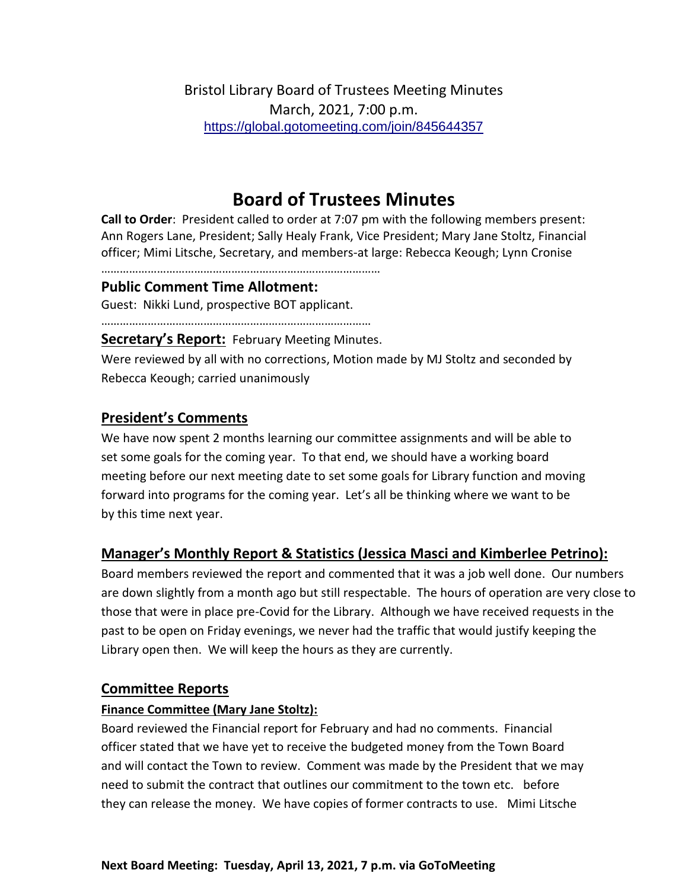Bristol Library Board of Trustees Meeting Minutes March, 2021, 7:00 p.m. <https://global.gotomeeting.com/join/845644357>

# **Board of Trustees Minutes**

**Call to Order**: President called to order at 7:07 pm with the following members present: Ann Rogers Lane, President; Sally Healy Frank, Vice President; Mary Jane Stoltz, Financial officer; Mimi Litsche, Secretary, and members-at large: Rebecca Keough; Lynn Cronise

………………………………………………………………………………

## **Public Comment Time Allotment:**

Guest: Nikki Lund, prospective BOT applicant.

……………………………………………………………………………

**Secretary's Report:** February Meeting Minutes.

Were reviewed by all with no corrections, Motion made by MJ Stoltz and seconded by Rebecca Keough; carried unanimously

## **President's Comments**

We have now spent 2 months learning our committee assignments and will be able to set some goals for the coming year. To that end, we should have a working board meeting before our next meeting date to set some goals for Library function and moving forward into programs for the coming year. Let's all be thinking where we want to be by this time next year.

# **Manager's Monthly Report & Statistics (Jessica Masci and Kimberlee Petrino):**

Board members reviewed the report and commented that it was a job well done. Our numbers are down slightly from a month ago but still respectable. The hours of operation are very close to those that were in place pre-Covid for the Library. Although we have received requests in the past to be open on Friday evenings, we never had the traffic that would justify keeping the Library open then. We will keep the hours as they are currently.

## **Committee Reports**

#### **Finance Committee (Mary Jane Stoltz):**

Board reviewed the Financial report for February and had no comments. Financial officer stated that we have yet to receive the budgeted money from the Town Board and will contact the Town to review. Comment was made by the President that we may need to submit the contract that outlines our commitment to the town etc. before they can release the money. We have copies of former contracts to use. Mimi Litsche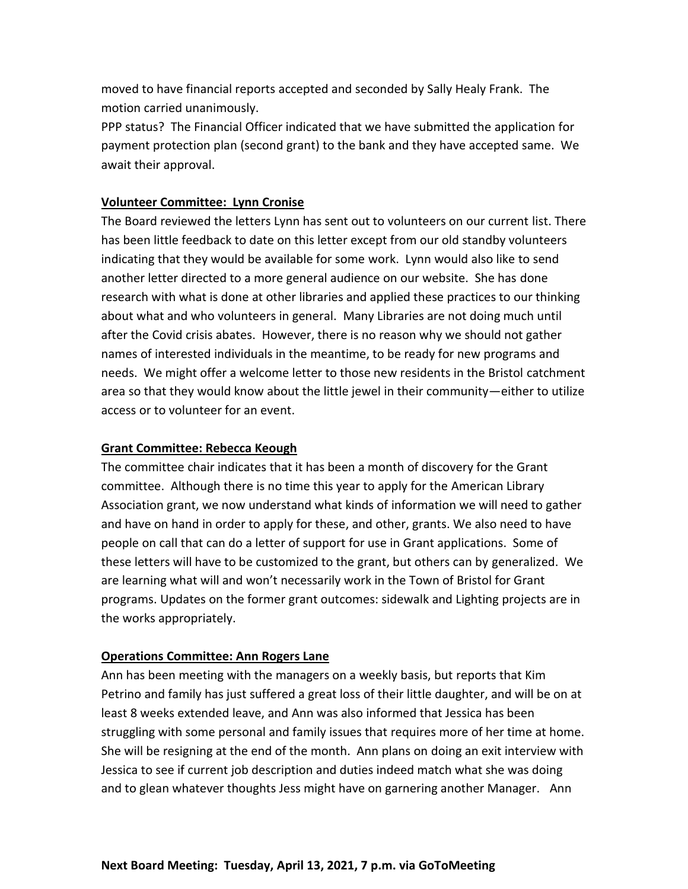moved to have financial reports accepted and seconded by Sally Healy Frank. The motion carried unanimously.

PPP status? The Financial Officer indicated that we have submitted the application for payment protection plan (second grant) to the bank and they have accepted same. We await their approval.

#### **Volunteer Committee: Lynn Cronise**

The Board reviewed the letters Lynn has sent out to volunteers on our current list. There has been little feedback to date on this letter except from our old standby volunteers indicating that they would be available for some work. Lynn would also like to send another letter directed to a more general audience on our website. She has done research with what is done at other libraries and applied these practices to our thinking about what and who volunteers in general. Many Libraries are not doing much until after the Covid crisis abates. However, there is no reason why we should not gather names of interested individuals in the meantime, to be ready for new programs and needs. We might offer a welcome letter to those new residents in the Bristol catchment area so that they would know about the little jewel in their community—either to utilize access or to volunteer for an event.

#### **Grant Committee: Rebecca Keough**

The committee chair indicates that it has been a month of discovery for the Grant committee. Although there is no time this year to apply for the American Library Association grant, we now understand what kinds of information we will need to gather and have on hand in order to apply for these, and other, grants. We also need to have people on call that can do a letter of support for use in Grant applications. Some of these letters will have to be customized to the grant, but others can by generalized. We are learning what will and won't necessarily work in the Town of Bristol for Grant programs. Updates on the former grant outcomes: sidewalk and Lighting projects are in the works appropriately.

## **Operations Committee: Ann Rogers Lane**

Ann has been meeting with the managers on a weekly basis, but reports that Kim Petrino and family has just suffered a great loss of their little daughter, and will be on at least 8 weeks extended leave, and Ann was also informed that Jessica has been struggling with some personal and family issues that requires more of her time at home. She will be resigning at the end of the month. Ann plans on doing an exit interview with Jessica to see if current job description and duties indeed match what she was doing and to glean whatever thoughts Jess might have on garnering another Manager. Ann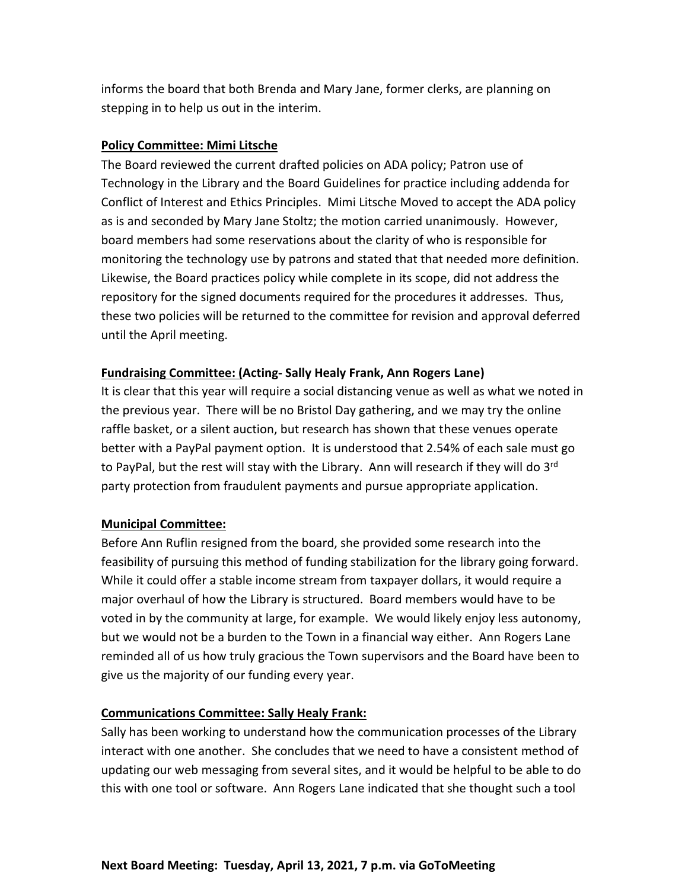informs the board that both Brenda and Mary Jane, former clerks, are planning on stepping in to help us out in the interim.

#### **Policy Committee: Mimi Litsche**

The Board reviewed the current drafted policies on ADA policy; Patron use of Technology in the Library and the Board Guidelines for practice including addenda for Conflict of Interest and Ethics Principles. Mimi Litsche Moved to accept the ADA policy as is and seconded by Mary Jane Stoltz; the motion carried unanimously. However, board members had some reservations about the clarity of who is responsible for monitoring the technology use by patrons and stated that that needed more definition. Likewise, the Board practices policy while complete in its scope, did not address the repository for the signed documents required for the procedures it addresses. Thus, these two policies will be returned to the committee for revision and approval deferred until the April meeting.

## **Fundraising Committee: (Acting- Sally Healy Frank, Ann Rogers Lane)**

It is clear that this year will require a social distancing venue as well as what we noted in the previous year. There will be no Bristol Day gathering, and we may try the online raffle basket, or a silent auction, but research has shown that these venues operate better with a PayPal payment option. It is understood that 2.54% of each sale must go to PayPal, but the rest will stay with the Library. Ann will research if they will do 3<sup>rd</sup> party protection from fraudulent payments and pursue appropriate application.

## **Municipal Committee:**

Before Ann Ruflin resigned from the board, she provided some research into the feasibility of pursuing this method of funding stabilization for the library going forward. While it could offer a stable income stream from taxpayer dollars, it would require a major overhaul of how the Library is structured. Board members would have to be voted in by the community at large, for example. We would likely enjoy less autonomy, but we would not be a burden to the Town in a financial way either. Ann Rogers Lane reminded all of us how truly gracious the Town supervisors and the Board have been to give us the majority of our funding every year.

## **Communications Committee: Sally Healy Frank:**

Sally has been working to understand how the communication processes of the Library interact with one another. She concludes that we need to have a consistent method of updating our web messaging from several sites, and it would be helpful to be able to do this with one tool or software. Ann Rogers Lane indicated that she thought such a tool